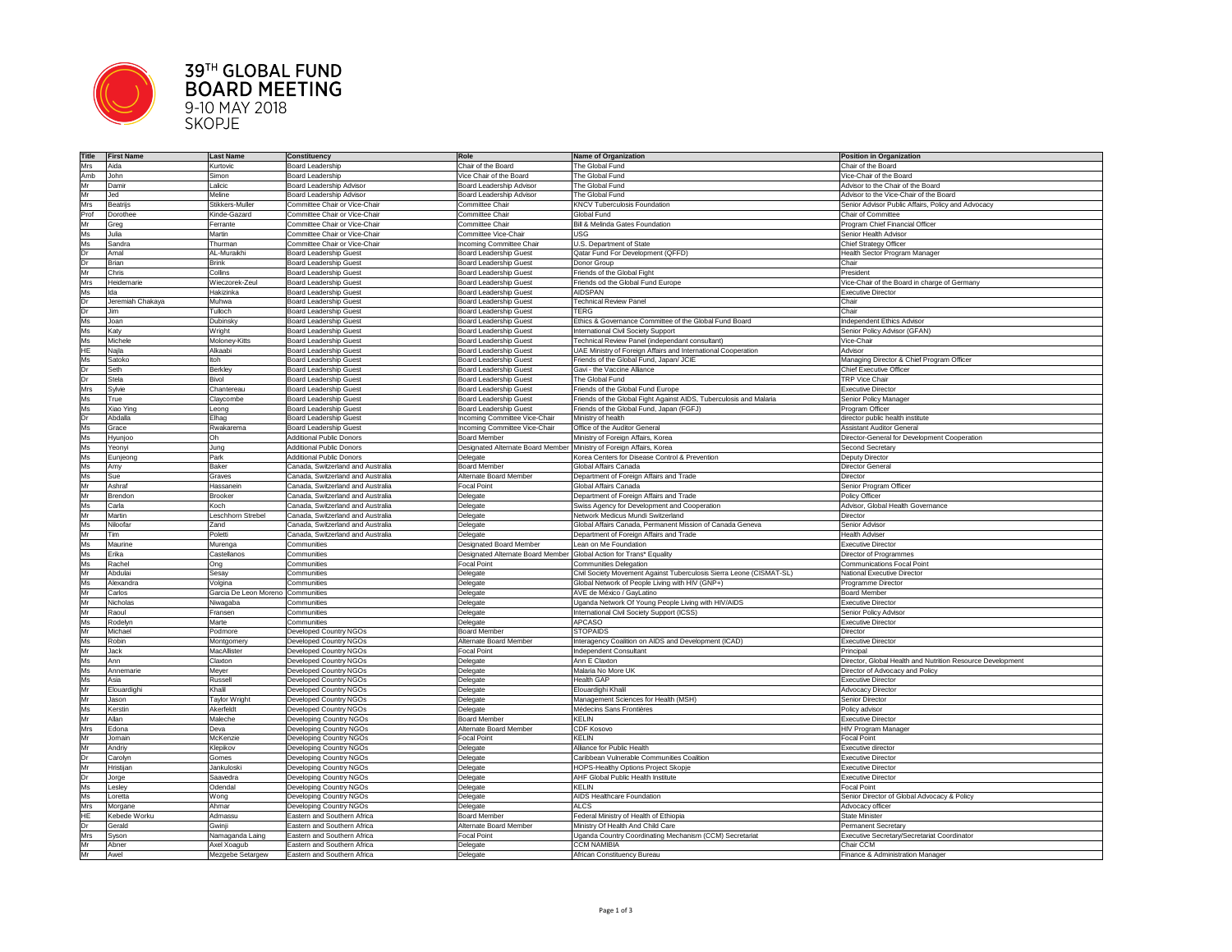

## **39TH GLOBAL FUND<br>BOARD MEETING**<br>9-10 MAY 2018<br>SKOPJE

| <b>Title</b> | <b>First Name</b> | <b>Last Name</b>                | <b>Constituency</b>                                        | Role                                                                   | Name of Organization                                                 | Position in Organization                                   |
|--------------|-------------------|---------------------------------|------------------------------------------------------------|------------------------------------------------------------------------|----------------------------------------------------------------------|------------------------------------------------------------|
| Mrs          | Aida              | Kurtovic                        | <b>Board Leadership</b>                                    | Chair of the Board                                                     | The Global Fund                                                      | Chair of the Board                                         |
| Amb          | John              | Simon                           | <b>Board Leadership</b>                                    | Vice Chair of the Board                                                | The Global Fund                                                      | Vice-Chair of the Board                                    |
| Mr           | Damir             | Lalicic                         | <b>Board Leadership Advisor</b>                            | <b>Board Leadership Advisor</b>                                        | The Global Fund                                                      | Advisor to the Chair of the Board                          |
| Mr           | Jed               | Meline                          | <b>Board Leadership Advisor</b>                            | <b>Board Leadership Advisor</b>                                        | The Global Fund                                                      | Advisor to the Vice-Chair of the Board                     |
| <b>Mrs</b>   |                   | Stikkers-Muller                 | Committee Chair or Vice-Chair                              | <b>Committee Chair</b>                                                 | <b>KNCV Tuberculosis Foundation</b>                                  | Senior Advisor Public Affairs, Policy and Advocacy         |
|              | <b>Beatrijs</b>   |                                 |                                                            |                                                                        |                                                                      |                                                            |
| Prof         | Dorothee          | Kinde-Gazard                    | Committee Chair or Vice-Chair                              | Committee Chair                                                        | Global Fund                                                          | Chair of Committee                                         |
| Mr           | Greg              | Ferrante                        | <b>Committee Chair or Vice-Chair</b>                       | Committee Chair                                                        | <b>Bill &amp; Melinda Gates Foundation</b>                           | Program Chief Financial Officer                            |
| Ms           | Julia             | Martin                          | Committee Chair or Vice-Chair                              | <b>Committee Vice-Chair</b>                                            | <b>USG</b>                                                           | Senior Health Advisor                                      |
| Ms           | Sandra            | Thurman                         | Committee Chair or Vice-Chair                              | Incoming Committee Chair                                               | U.S. Department of State                                             | <b>Chief Strategy Officer</b>                              |
| Dr           | Amal              | AL-Muraikhi                     | <b>Board Leadership Guest</b>                              | <b>Board Leadership Guest</b>                                          | Qatar Fund For Development (QFFD)                                    | Health Sector Program Manager                              |
| Dr           | <b>Brian</b>      | <b>Brink</b>                    | <b>Board Leadership Guest</b>                              | <b>Board Leadership Guest</b>                                          | Donor Group                                                          | Chair                                                      |
| Mr           | Chris             | Collins                         | <b>Board Leadership Guest</b>                              | <b>Board Leadership Guest</b>                                          | Friends of the Global Fight                                          | President                                                  |
| Mrs          | Heidemarie        | Wieczorek-Zeul                  | <b>Board Leadership Guest</b>                              | <b>Board Leadership Guest</b>                                          | Friends od the Global Fund Europe                                    | Vice-Chair of the Board in charge of Germany               |
| Ms           | Ida               | Hakizinka                       | <b>Board Leadership Guest</b>                              | <b>Board Leadership Guest</b>                                          | <b>AIDSPAN</b>                                                       | <b>Executive Director</b>                                  |
| Dr           | Jeremiah Chakaya  | Muhwa                           | <b>Board Leadership Guest</b>                              | <b>Board Leadership Guest</b>                                          | <b>Technical Review Panel</b>                                        | Chair                                                      |
| Dr           | Jim               | Tulloch                         | <b>Board Leadership Guest</b>                              | <b>Board Leadership Guest</b>                                          | <b>TERG</b>                                                          | Chair                                                      |
| Ms           | Joan              | Dubinsky                        | <b>Board Leadership Guest</b>                              | <b>Board Leadership Guest</b>                                          | Ethics & Governance Committee of the Global Fund Board               | <b>Independent Ethics Advisor</b>                          |
| Ms           | Katy              | Wright                          | <b>Board Leadership Guest</b>                              | <b>Board Leadership Guest</b>                                          | <b>International Civil Society Support</b>                           | Senior Policy Advisor (GFAN)                               |
| Ms           |                   |                                 |                                                            |                                                                        |                                                                      |                                                            |
|              | Michele           | Moloney-Kitts                   | <b>Board Leadership Guest</b>                              | <b>Board Leadership Guest</b>                                          | Technical Review Panel (independant consultant)                      | Vice-Chair                                                 |
| HE           | Najla             | Alkaabi                         | <b>Board Leadership Guest</b>                              | <b>Board Leadership Guest</b>                                          | UAE Ministry of Foreign Affairs and International Cooperation        | Advisor                                                    |
| Ms           | Satoko            | ltoh                            | <b>Board Leadership Guest</b>                              | <b>Board Leadership Guest</b>                                          | Friends of the Global Fund, Japan/ JCIE                              | Managing Director & Chief Program Officer                  |
| Dr           | Seth              | <b>Berkley</b>                  | <b>Board Leadership Guest</b>                              | <b>Board Leadership Guest</b>                                          | Gavi - the Vaccine Alliance                                          | <b>Chief Executive Officer</b>                             |
| Dr           | <b>Stela</b>      | <b>Bivol</b>                    | <b>Board Leadership Guest</b>                              | <b>Board Leadership Guest</b>                                          | The Global Fund                                                      | <b>TRP Vice Chair</b>                                      |
| Mrs          | Sylvie            | Chantereau                      | <b>Board Leadership Guest</b>                              | <b>Board Leadership Guest</b>                                          | Friends of the Global Fund Europe                                    | <b>Executive Director</b>                                  |
| Ms           | True              | Claycombe                       | <b>Board Leadership Guest</b>                              | <b>Board Leadership Guest</b>                                          | Friends of the Global Fight Against AIDS, Tuberculosis and Malaria   | Senior Policy Manager                                      |
| Ms           | Xiao Ying         | Leong                           | <b>Board Leadership Guest</b>                              | <b>Board Leadership Guest</b>                                          | Friends of the Global Fund, Japan (FGFJ)                             | Program Officer                                            |
| Dr           | Abdalla           | Elhag                           | <b>Board Leadership Guest</b>                              | Incoming Committee Vice-Chair                                          | Ministry of health                                                   | director public health institute                           |
| Ms           | Grace             | Rwakarema                       | <b>Board Leadership Guest</b>                              | <b>Incoming Committee Vice-Chair</b>                                   | Office of the Auditor General                                        | <b>Assistant Auditor General</b>                           |
| Ms           | Hyunjoo           | Oh                              | <b>Additional Public Donors</b>                            | <b>Board Member</b>                                                    | Ministry of Foreign Affairs, Korea                                   | Director-General for Development Cooperation               |
| Ms           | Yeonyi            | Jung                            | <b>Additional Public Donors</b>                            | Designated Alternate Board Member   Ministry of Foreign Affairs, Korea |                                                                      | <b>Second Secretary</b>                                    |
|              |                   |                                 | <b>Additional Public Donors</b>                            |                                                                        | Korea Centers for Disease Control & Prevention                       | <b>Deputy Director</b>                                     |
| <b>MS</b>    | Eunjeong          | Park                            |                                                            | Delegate<br><b>Board Member</b>                                        |                                                                      |                                                            |
| Ms           | Amy               | <b>Baker</b>                    | Canada, Switzerland and Australia                          |                                                                        | Global Affairs Canada                                                | <b>Director General</b>                                    |
| Ms           | Sue               | Graves                          | Canada, Switzerland and Australia                          | Alternate Board Member                                                 | Department of Foreign Affairs and Trade                              | <b>Director</b>                                            |
| Mr           | Ashraf            | Hassanein                       | Canada, Switzerland and Australia                          | <b>Focal Point</b>                                                     | Global Affairs Canada                                                | Senior Program Officer                                     |
| Mr           | Brendon           | <b>Brooker</b>                  | Canada, Switzerland and Australia                          | Delegate                                                               | Department of Foreign Affairs and Trade                              | <b>Policy Officer</b>                                      |
| Ms           | Carla             | Koch                            | Canada, Switzerland and Australia                          | Delegate                                                               | Swiss Agency for Development and Cooperation                         | Advisor, Global Health Governance                          |
|              |                   |                                 |                                                            |                                                                        | Network Medicus Mundi Switzerland                                    | <b>Director</b>                                            |
| Mr           | Martin            | Leschhorn Strebel               | Canada, Switzerland and Australia                          | Delegate                                                               |                                                                      |                                                            |
| Ms           | Niloofar          | Zand                            | Canada, Switzerland and Australia                          | Delegate                                                               | Global Affairs Canada, Permanent Mission of Canada Geneva            | Senior Advisor                                             |
| Mr           | Tim               | Poletti                         | Canada, Switzerland and Australia                          | Delegate                                                               | Department of Foreign Affairs and Trade                              | <b>Health Adviser</b>                                      |
| Ms           | Maurine           |                                 | Communities                                                | <b>Designated Board Member</b>                                         | Lean on Me Foundation                                                | <b>Executive Director</b>                                  |
|              |                   | Murenga                         |                                                            |                                                                        |                                                                      |                                                            |
| Ms           | Erika             | Castellanos                     | Communities                                                | Designated Alternate Board Member Global Action for Trans* Equality    |                                                                      | <b>Director of Programmes</b>                              |
| Ms           | Rachel            | Ong                             | Communities                                                | <b>Focal Point</b>                                                     | <b>Communities Delegation</b>                                        | <b>Communications Focal Point</b>                          |
| Mr           | Abdulai           | Sesay                           | Communities                                                | Delegate                                                               | Civil Society Movement Against Tuberculosis Sierra Leone (CISMAT-SL) | <b>National Executive Director</b>                         |
| Ms           | Alexandra         | Volgina                         | Communities                                                | Delegate                                                               | Global Network of People Living with HIV (GNP+)                      | <b>Programme Director</b>                                  |
| Mr           | Carlos            | Garcia De Leon Moreno           | Communities                                                | Delegate                                                               | AVE de México / GayLatino                                            | <b>Board Member</b>                                        |
| Mr           | Nicholas          | Niwagaba                        | <b>Communities</b>                                         | Delegate                                                               | Uganda Network Of Young People Living with HIV/AIDS                  | <b>Executive Director</b>                                  |
| Mr           | Raoul             | Fransen                         | Communities                                                | Delegate                                                               | <b>International Civil Society Support (ICSS)</b>                    | Senior Policy Advisor                                      |
| Ms           | Rodelyn           | Marte                           | Communities                                                | Delegate                                                               | <b>APCASO</b>                                                        | <b>Executive Director</b>                                  |
| Mr           | Michael           | Podmore                         | Developed Country NGOs                                     | <b>Board Member</b>                                                    | <b>STOPAIDS</b>                                                      | <b>Director</b>                                            |
| Ms           | Robin             | Montgomery                      | <b>Developed Country NGOs</b>                              | Alternate Board Member                                                 | Interagency Coalition on AIDS and Development (ICAD)                 | <b>Executive Director</b>                                  |
| Mr           | Jack              | MacAllister                     | <b>Developed Country NGOs</b>                              | <b>Focal Point</b>                                                     | Independent Consultant                                               | Principal                                                  |
| Ms           | Ann               | Claxton                         | <b>Developed Country NGOs</b>                              | Delegate                                                               | Ann E Claxton                                                        | Director, Global Health and Nutrition Resource Development |
| Ms           | Annemarie         | Meyer                           | <b>Developed Country NGOs</b>                              | Delegate                                                               | Malaria No More UK                                                   | Director of Advocacy and Policy                            |
|              | Asia              |                                 |                                                            |                                                                        | <b>Health GAP</b>                                                    | <b>Executive Director</b>                                  |
| Ms           |                   | Russell                         | <b>Developed Country NGOs</b>                              | Delegate                                                               |                                                                      |                                                            |
| Mr           | Elouardighi       | Khalil                          | <b>Developed Country NGOs</b>                              | Delegate                                                               | Elouardighi Khalil                                                   | <b>Advocacy Director</b>                                   |
| Mr           | Jason             | Taylor Wright                   | <b>Developed Country NGOs</b>                              | Delegate                                                               | Management Sciences for Health (MSH)                                 | Senior Director                                            |
| Ms           | Kerstin           | Akerfeldt                       | <b>Developed Country NGOs</b>                              | Delegate                                                               | Médecins Sans Frontières                                             | Policy advisor                                             |
| Mr           | Allan             | Maleche                         | Developing Country NGOs                                    | <b>Board Member</b>                                                    | <b>KELIN</b>                                                         | <b>Executive Director</b>                                  |
| Mrs          | Edona             | Deva                            | Developing Country NGOs                                    | Alternate Board Member                                                 | CDF Kosovo                                                           | <b>HIV Program Manager</b>                                 |
| Mr           | Jomain            | McKenzie                        | Developing Country NGOs                                    | <b>Focal Point</b>                                                     | <b>KELIN</b>                                                         | <b>Focal Point</b>                                         |
| Mr           | Andriy            | Klepikov                        | Developing Country NGOs                                    | Delegate                                                               | <b>Alliance for Public Health</b>                                    | Executive director                                         |
| Dr           | Carolyn           | Gomes                           | Developing Country NGOs                                    | Delegate                                                               | Caribbean Vulnerable Communities Coalition                           | <b>Executive Director</b>                                  |
| Mr           | Hristijan         | Jankuloski                      | Developing Country NGOs                                    | Delegate                                                               | HOPS-Healthy Options Project Skopje                                  | <b>Executive Director</b>                                  |
| Dr           |                   | Saavedra                        |                                                            | Delegate                                                               | <b>AHF Global Public Health Institute</b>                            | <b>Executive Director</b>                                  |
|              | Jorge             |                                 | Developing Country NGOs                                    |                                                                        | <b>KELIN</b>                                                         |                                                            |
| Ms           | Lesley            | Odendal                         | Developing Country NGOs                                    | Delegate                                                               |                                                                      | <b>Focal Point</b>                                         |
| Ms           | Loretta           | Wong                            | Developing Country NGOs                                    | Delegate                                                               | <b>AIDS Healthcare Foundation</b>                                    | Senior Director of Global Advocacy & Policy                |
| <b>Mrs</b>   | Morgane           | Ahmar                           | Developing Country NGOs                                    | Delegate                                                               | <b>ALCS</b>                                                          | Advocacy officer                                           |
| <b>HE</b>    | Kebede Worku      | Admassu                         | Eastern and Southern Africa                                | Board Member                                                           | Federal Ministry of Health of Ethiopia                               | <b>State Minister</b>                                      |
| Dr           | Gerald            | Gwinji                          | Eastern and Southern Africa                                | Alternate Board Member                                                 | Ministry Of Health And Child Care                                    | <b>Permanent Secretary</b>                                 |
| <b>Mrs</b>   | Syson             | Namaganda Laing                 | Eastern and Southern Africa                                | <b>Focal Point</b>                                                     | Uganda Country Coordinating Mechanism (CCM) Secretariat              | <b>Executive Secretary/Secretariat Coordinator</b>         |
| Mr<br>Mr     | Abner<br>Awel     | Axel Xoagub<br>Mezgebe Setargew | Eastern and Southern Africa<br>Eastern and Southern Africa | Delegate<br>Delegate                                                   | <b>CCM NAMIBIA</b><br>African Constituency Bureau                    | Chair CCM<br>Finance & Administration Manager              |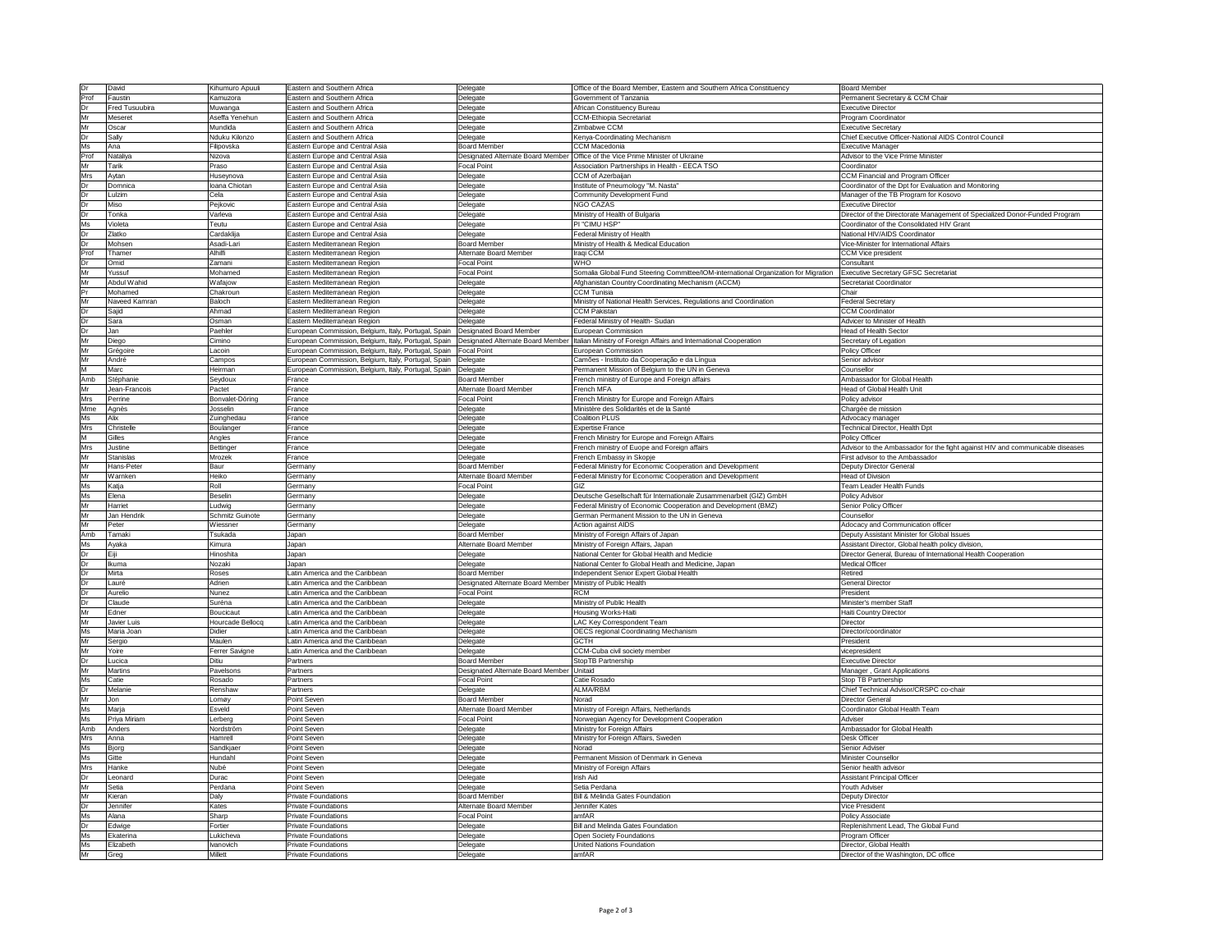| Dr          | David                 | Kihumuro Apuuli             | Eastern and Southern Africa                                        | Delegate                                                    | Office of the Board Member, Eastern and Southern Africa Constituency                                                                                       | <b>Board Member</b>                                                           |
|-------------|-----------------------|-----------------------------|--------------------------------------------------------------------|-------------------------------------------------------------|------------------------------------------------------------------------------------------------------------------------------------------------------------|-------------------------------------------------------------------------------|
| Prof        | Faustin               | Kamuzora                    | <b>Eastern and Southern Africa</b>                                 | Delegate                                                    | Government of Tanzania                                                                                                                                     | Permanent Secretary & CCM Chair                                               |
| Dr          | <b>Fred Tusuubira</b> | Muwanga                     | <b>Eastern and Southern Africa</b>                                 | Delegate                                                    | African Constituency Bureau                                                                                                                                | <b>Executive Director</b>                                                     |
|             |                       |                             |                                                                    |                                                             |                                                                                                                                                            |                                                                               |
| <b>Mr</b>   | Meseret               | Aseffa Yenehun              | Eastern and Southern Africa                                        | Delegate                                                    | <b>CCM-Ethiopia Secretariat</b>                                                                                                                            | Program Coordinator                                                           |
| Mr          | Oscar                 | Mundida                     | Eastern and Southern Africa                                        | Delegate                                                    | Zimbabwe CCM                                                                                                                                               | <b>Executive Secretary</b>                                                    |
| Dr          | Sally                 | Nduku Kilonzo               | Eastern and Southern Africa                                        | Delegate                                                    | Kenya-Coordinating Mechanism                                                                                                                               | Chief Executive Officer-National AIDS Control Council                         |
| Ms          | Ana                   | Filipovska                  | Eastern Europe and Central Asia                                    | <b>Board Member</b>                                         | <b>CCM Macedonia</b>                                                                                                                                       | <b>Executive Manager</b>                                                      |
| Prof        | Nataliya              | Nizova                      | <b>Eastern Europe and Central Asia</b>                             |                                                             | Designated Alternate Board Member Office of the Vice Prime Minister of Ukraine                                                                             | Advisor to the Vice Prime Minister                                            |
| Mr          | Tarik                 | Praso                       | Eastern Europe and Central Asia                                    | <b>Focal Point</b>                                          | Association Partnerships in Health - EECA TSO                                                                                                              | Coordinator                                                                   |
| <b>Mrs</b>  | Aytan                 | Huseynova                   | Eastern Europe and Central Asia                                    | Delegate                                                    | <b>CCM</b> of Azerbaijan                                                                                                                                   | <b>CCM Financial and Program Officer</b>                                      |
| Dr          | Domnica               | Ioana Chiotan               | <b>Eastern Europe and Central Asia</b>                             | Delegate                                                    | Institute of Pneumology "M. Nasta"                                                                                                                         | Coordinator of the Dpt for Evaluation and Monitoring                          |
| <b>Dr</b>   | Lulzim                | Cela                        | Eastern Europe and Central Asia                                    | Delegate                                                    | <b>Community Development Fund</b>                                                                                                                          | Manager of the TB Program for Kosovo                                          |
| Dr          | Miso                  | Pejkovic                    | Eastern Europe and Central Asia                                    | Delegate                                                    | <b>NGO CAZAS</b>                                                                                                                                           | <b>Executive Director</b>                                                     |
| Dr          | Tonka                 | Varleva                     | <b>Eastern Europe and Central Asia</b>                             | Delegate                                                    | Ministry of Health of Bulgaria                                                                                                                             | Director of the Directorate Management of Specialized Donor-Funded Program    |
| Ms          | Violeta               | Teutu                       | Eastern Europe and Central Asia                                    | Delegate                                                    | PI "CIMU HSP"                                                                                                                                              | Coordinator of the Consolidated HIV Grant                                     |
| Dr          |                       |                             |                                                                    |                                                             |                                                                                                                                                            |                                                                               |
|             | Zlatko                | Cardaklija                  | Eastern Europe and Central Asia                                    | Delegate                                                    | <b>Federal Ministry of Health</b>                                                                                                                          | National HIV/AIDS Coordinator                                                 |
| Dr          | Mohsen                | Asadi-Lari                  | Eastern Mediterranean Region                                       | <b>Board Member</b>                                         | Ministry of Health & Medical Education                                                                                                                     | Vice-Minister for International Affairs                                       |
| Prof        | Thamer                | Alhilfi                     | Eastern Mediterranean Region                                       | <b>Alternate Board Member</b>                               | Iraqi CCM                                                                                                                                                  | <b>CCM Vice president</b>                                                     |
| Dr          | )mid                  | Zamani                      | Eastern Mediterranean Region                                       | <b>Focal Point</b>                                          | WHO                                                                                                                                                        | Consultant                                                                    |
| Mr          | Yussuf                | Mohamed                     | Eastern Mediterranean Region                                       | <b>Focal Point</b>                                          | Somalia Global Fund Steering Committee/IOM-international Organization for Migration                                                                        | <b>Executive Secretary GFSC Secretariat</b>                                   |
| Mr          | Abdul Wahid           | Wafajow                     | Eastern Mediterranean Region                                       | Delegate                                                    | Afghanistan Country Coordinating Mechanism (ACCM)                                                                                                          | Secretariat Coordinator                                                       |
| lPr         | Mohamed               | Chakroun                    | Eastern Mediterranean Region                                       | Delegate                                                    | <b>CCM Tunisia</b>                                                                                                                                         | Chair                                                                         |
| <b>I</b> Mr | Naveed Kamran         | Baloch                      | Eastern Mediterranean Region                                       | Delegate                                                    | Ministry of National Health Services, Regulations and Coordination                                                                                         | <b>Federal Secretary</b>                                                      |
| Dr          | Sajid                 | Ahmad                       | Eastern Mediterranean Region                                       | Delegate                                                    | <b>CCM Pakistan</b>                                                                                                                                        | <b>CCM Coordinator</b>                                                        |
| Dr          | Sara                  | Osman                       | Eastern Mediterranean Region                                       | Delegate                                                    | Federal Ministry of Health-Sudan                                                                                                                           | Advicer to Minister of Health                                                 |
| Dr          | Jan                   | Paehler                     | European Commission, Belgium, Italy, Portugal, Spain               | Designated Board Member                                     | European Commission                                                                                                                                        | <b>Head of Health Sector</b>                                                  |
| Mr          | Diego                 | Cimino                      |                                                                    |                                                             | European Commission, Belgium, Italy, Portugal, Spain [Designated Alternate Board Member  Italian Ministry of Foreign Affairs and International Cooperation | Secretary of Legation                                                         |
| Mr          |                       |                             |                                                                    |                                                             | European Commission                                                                                                                                        | Policy Officer                                                                |
| Mr          | Grégoire              | Lacoin                      | European Commission, Belgium, Italy, Portugal, Spain   Focal Point |                                                             |                                                                                                                                                            |                                                                               |
|             | André                 | Campos                      | European Commission, Belgium, Italy, Portugal, Spain               | Delegate                                                    | Camões - Instituto da Cooperação e da Língua                                                                                                               | Senior advisor                                                                |
| Iм          | Marc                  | Heirman                     | European Commission, Belgium, Italy, Portugal, Spain               | Delegate                                                    | Permanent Mission of Belgium to the UN in Geneva                                                                                                           | Counsellor                                                                    |
| Amb         | Stéphanie             | Seydoux                     | France                                                             | <b>Board Member</b>                                         | French ministry of Europe and Foreign affairs                                                                                                              | Ambassador for Global Health                                                  |
| Mr          | Jean-Francois         | Pactet                      | France                                                             | Alternate Board Member                                      | French MFA                                                                                                                                                 | Head of Global Health Unit                                                    |
| <b>Mrs</b>  | Perrine               | Bonvalet-Döring             | France                                                             | <b>Focal Point</b>                                          | French Ministry for Europe and Foreign Affairs                                                                                                             | Policy advisor                                                                |
| Mme         | Agnès                 | Josselin                    | France                                                             | Delegate                                                    | Ministère des Solidarités et de la Santé                                                                                                                   | Chargée de mission                                                            |
| Ms          | Alix                  | Zuinghedau                  | France                                                             | Delegate                                                    | <b>Coalition PLUS</b>                                                                                                                                      | Advocacy manager                                                              |
| <b>Mrs</b>  | Christelle            | Boulanger                   | France                                                             | Delegate                                                    | <b>Expertise France</b>                                                                                                                                    | <b>Technical Director, Health Dpt</b>                                         |
| M           | Gilles                | Angles                      | France                                                             | Delegate                                                    | French Ministry for Europe and Foreign Affairs                                                                                                             | <b>Policy Officer</b>                                                         |
| <b>Mrs</b>  | Justine               | <b>Bettinger</b>            | France                                                             | Delegate                                                    | French ministry of Euope and Foreign affairs                                                                                                               | Advisor to the Ambassador for the fight against HIV and communicable diseases |
| Mr          | Stanislas             | Mrozek                      | France                                                             | Delegate                                                    | French Embassy in Skopje                                                                                                                                   | First advisor to the Ambassador                                               |
| Mr          | Hans-Peter            | Baur                        | Germany                                                            | <b>Board Member</b>                                         | Federal Ministry for Economic Cooperation and Development                                                                                                  | <b>Deputy Director General</b>                                                |
|             |                       |                             |                                                                    |                                                             |                                                                                                                                                            |                                                                               |
|             |                       |                             |                                                                    |                                                             |                                                                                                                                                            |                                                                               |
| <b>I</b> Mr | Warnken               | Heiko                       | Germany                                                            | Alternate Board Member                                      | Federal Ministry for Economic Cooperation and Development                                                                                                  | <b>Head of Division</b>                                                       |
| Ms          | Katja                 | Roll                        | Germany                                                            | <b>Focal Point</b>                                          |                                                                                                                                                            | <b>Team Leader Health Funds</b>                                               |
| Ms          | Elena                 | <b>Beselin</b>              | Germany                                                            | Delegate                                                    | Deutsche Gesellschaft für Internationale Zusammenarbeit (GIZ) GmbH                                                                                         | <b>Policy Advisor</b>                                                         |
| Mr          | Harriet               | Ludwig                      | Germany                                                            | Delegate                                                    | Federal Ministry of Economic Cooperation and Development (BMZ)                                                                                             | <b>Senior Policy Officer</b>                                                  |
| <b>Mr</b>   | Jan Hendrik           | <b>Schmitz Guinote</b>      | Germany                                                            | Delegate                                                    | German Permanent Mission to the UN in Geneva                                                                                                               | Counsellor                                                                    |
| Mr          | Peter                 | Wiessner                    | Germany                                                            | Delegate                                                    | <b>Action against AIDS</b>                                                                                                                                 | Adocacy and Communication officer                                             |
| Amb         | Tamaki                | Tsukada                     | Japan                                                              | <b>Board Member</b>                                         | Ministry of Foreign Affairs of Japan                                                                                                                       | Deputy Assistant Minister for Global Issues                                   |
| Ms          | Ayaka                 | Kimura                      | Japan                                                              | <b>Alternate Board Member</b>                               | Ministry of Foreign Affairs, Japan                                                                                                                         | Assistant Director, Global health policy division,                            |
| Dr          |                       | Hinoshita                   | Japan                                                              | Delegate                                                    | National Center for Global Health and Medicie                                                                                                              | Director General, Bureau of International Health Cooperation                  |
| Dr          | Ikuma                 | Nozaki                      | Japan                                                              | Delegate                                                    | National Center fo Global Heath and Medicine, Japan                                                                                                        | <b>Medical Officer</b>                                                        |
| Dr          | Mirta                 | Roses                       | Latin America and the Caribbean                                    | <b>Board Member</b>                                         | Independent Senior Expert Global Health                                                                                                                    | Retired                                                                       |
| Dr          | Lauré                 | Adrien                      | atin America and the Caribbean                                     | Designated Alternate Board Member Ministry of Public Health |                                                                                                                                                            | <b>General Director</b>                                                       |
| Dr          | Aurelio               | Nunez                       | Latin America and the Caribbean                                    | <b>Focal Point</b>                                          | <b>RCM</b>                                                                                                                                                 | President                                                                     |
| Dr          | Claude                | Suréna                      | Latin America and the Caribbean                                    | Delegate                                                    | Ministry of Public Health                                                                                                                                  | Minister's member Staff                                                       |
| Mr          | Edner                 | Boucicaut                   | Latin America and the Caribbean                                    | Delegate                                                    | Housing Works-Haiti                                                                                                                                        | <b>Haiti Country Director</b>                                                 |
| <b>Mr</b>   | Javier Luis           | Hourcade Bellocq            | Latin America and the Caribbean                                    | Delegate                                                    | <b>LAC Key Correspondent Team</b>                                                                                                                          | <b>Director</b>                                                               |
|             |                       |                             |                                                                    |                                                             |                                                                                                                                                            |                                                                               |
| Ms          | Maria Joan            | Didier                      | Latin America and the Caribbean                                    | Delegate                                                    | <b>OECS regional Coordinating Mechanism</b>                                                                                                                | Director/coordinator                                                          |
| <b>Mr</b>   | Sergio                | Maulen                      | Latin America and the Caribbean                                    | Delegate                                                    | <b>GCTH</b>                                                                                                                                                | President                                                                     |
| Mr          | Yoire                 | Ferrer Savigne              | Latin America and the Caribbean                                    | Delegate                                                    | CCM-Cuba civil society member                                                                                                                              | vicepresident                                                                 |
| Dr          | ucica.                | Ditiu                       | Partners                                                           | <b>Board Member</b>                                         | StopTB Partnership                                                                                                                                         | <b>Executive Director</b>                                                     |
| Mr          | <b>Martins</b>        | Pavelsons                   | Partners                                                           | Designated Alternate Board Member                           | Unitaid                                                                                                                                                    | Manager, Grant Applications                                                   |
| Ms          | Catie                 | Rosado                      | Partners                                                           | <b>Focal Point</b>                                          | Catie Rosado                                                                                                                                               | Stop TB Partnership                                                           |
| Dr          | Melanie               | Renshaw                     | Partners                                                           | Delegate                                                    | <b>ALMA/RBM</b>                                                                                                                                            | Chief Technical Advisor/CRSPC co-chair                                        |
| Mr          | Jon                   | Lomøy                       | Point Seven                                                        | <b>Board Member</b>                                         | Norad                                                                                                                                                      | Director General                                                              |
| Ms          | Marja                 | Esveld                      | Point Seven                                                        | Alternate Board Member                                      | Ministry of Foreign Affairs, Netherlands                                                                                                                   | Coordinator Global Health Team                                                |
| Ms          | Priya Miriam          | Lerberg                     | Point Seven                                                        | <b>Focal Point</b>                                          | Norwegian Agency for Development Cooperation                                                                                                               | Adviser                                                                       |
| Amb         | Anders                | Nordström                   | Point Seven                                                        | Delegate                                                    | Ministry for Foreign Affairs                                                                                                                               | Ambassador for Global Health                                                  |
| <b>Mrs</b>  | Anna                  | Hamrell                     | Point Seven                                                        | Delegate                                                    | Ministry for Foreign Affairs, Sweden                                                                                                                       | <b>Desk Officer</b>                                                           |
| Ms          | Bjorg                 | Sandkjaer                   | Point Seven                                                        | Delegate                                                    | Norad                                                                                                                                                      | Senior Adviser                                                                |
| Ms          | Gitte                 | Hundahl                     | Point Seven                                                        | Delegate                                                    | Permanent Mission of Denmark in Geneva                                                                                                                     | Minister Counsellor                                                           |
|             |                       |                             |                                                                    |                                                             |                                                                                                                                                            |                                                                               |
| Mrs         | Hanke                 | Nubé                        | Point Seven                                                        | Delegate                                                    | Ministry of Foreign Affairs                                                                                                                                | Senior health advisor                                                         |
| Dr          | Leonard               | Durac                       | Point Seven                                                        | Delegate                                                    | Irish Aid                                                                                                                                                  | <b>Assistant Principal Officer</b>                                            |
| Mr          | Setia                 | Perdana                     | Point Seven                                                        | Delegate                                                    | Setia Perdana                                                                                                                                              | Youth Adviser                                                                 |
| Mr          | Kieran                | Daly                        | <b>Private Foundations</b>                                         | <b>Board Member</b>                                         | Bill & Melinda Gates Foundation                                                                                                                            | <b>Deputy Director</b>                                                        |
| Dr          | Jennifer              | Kates                       | <b>Private Foundations</b>                                         | Alternate Board Member                                      | Jennifer Kates                                                                                                                                             | <b>Vice President</b>                                                         |
| Ms          | Alana                 | Sharp                       | <b>Private Foundations</b>                                         | <b>Focal Point</b>                                          | amfAR                                                                                                                                                      | <b>Policy Associate</b>                                                       |
| Dr          | Edwige                | Fortier                     | <b>Private Foundations</b>                                         | Delegate                                                    | Bill and Melinda Gates Foundation                                                                                                                          | Replenishment Lead, The Global Fund                                           |
| Ms          | Ekaterina             | Lukicheva                   | <b>Private Foundations</b>                                         | Delegate                                                    | Open Society Foundations                                                                                                                                   | Program Officer                                                               |
| Ms<br>Mr    | Elizabeth<br>Greg     | Ivanovich<br><b>Millett</b> | <b>Private Foundations</b><br><b>Private Foundations</b>           | Delegate<br>Delegate                                        | <b>United Nations Foundation</b><br>amfAR                                                                                                                  | Director, Global Health<br>Director of the Washington, DC office              |